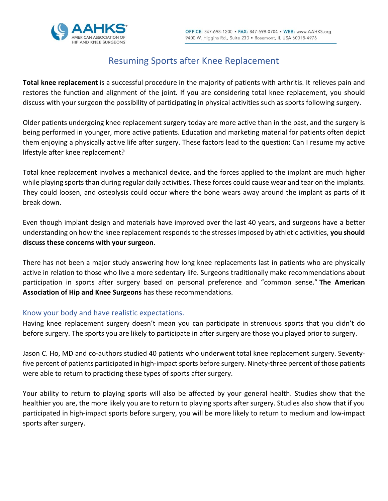

# Resuming Sports after Knee Replacement

**Total knee replacement** is a successful procedure in the majority of patients with arthritis. It relieves pain and restores the function and alignment of the joint. If you are considering total knee replacement, you should discuss with your surgeon the possibility of participating in physical activities such as sports following surgery.

Older patients undergoing knee replacement surgery today are more active than in the past, and the surgery is being performed in younger, more active patients. Education and marketing material for patients often depict them enjoying a physically active life after surgery. These factors lead to the question: Can I resume my active lifestyle after knee replacement?

Total knee replacement involves a mechanical device, and the forces applied to the implant are much higher while playing sports than during regular daily activities. These forces could cause wear and tear on the implants. They could loosen, and osteolysis could occur where the bone wears away around the implant as parts of it break down.

Even though implant design and materials have improved over the last 40 years, and surgeons have a better understanding on how the knee replacement responds to the stresses imposed by athletic activities, **you should discuss these concerns with your surgeon**.

There has not been a major study answering how long knee replacements last in patients who are physically active in relation to those who live a more sedentary life. Surgeons traditionally make recommendations about participation in sports after surgery based on personal preference and "common sense." **The American Association of Hip and Knee Surgeons** has these recommendations.

# Know your body and have realistic expectations.

Having knee replacement surgery doesn't mean you can participate in strenuous sports that you didn't do before surgery. The sports you are likely to participate in after surgery are those you played prior to surgery.

Jason C. Ho, MD and co-authors studied 40 patients who underwent total knee replacement surgery. Seventyfive percent of patients participated in high-impact sports before surgery. Ninety-three percent of those patients were able to return to practicing these types of sports after surgery.

Your ability to return to playing sports will also be affected by your general health. Studies show that the healthier you are, the more likely you are to return to playing sports after surgery. Studies also show that if you participated in high-impact sports before surgery, you will be more likely to return to medium and low-impact sports after surgery.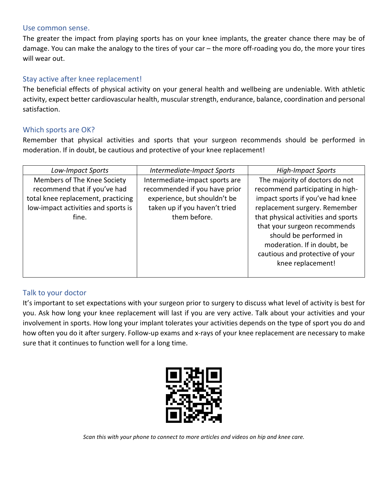#### Use common sense.

The greater the impact from playing sports has on your knee implants, the greater chance there may be of damage. You can make the analogy to the tires of your car – the more off-roading you do, the more your tires will wear out.

## Stay active after knee replacement!

The beneficial effects of physical activity on your general health and wellbeing are undeniable. With athletic activity, expect better cardiovascular health, muscular strength, endurance, balance, coordination and personal satisfaction.

#### Which sports are OK?

Remember that physical activities and sports that your surgeon recommends should be performed in moderation. If in doubt, be cautious and protective of your knee replacement!

| Low-Impact Sports                                                                                                                                 | Intermediate-Impact Sports                                                                                                                       | <b>High-Impact Sports</b>                                                                                                                                                                                                                |
|---------------------------------------------------------------------------------------------------------------------------------------------------|--------------------------------------------------------------------------------------------------------------------------------------------------|------------------------------------------------------------------------------------------------------------------------------------------------------------------------------------------------------------------------------------------|
| Members of The Knee Society<br>recommend that if you've had<br>total knee replacement, practicing<br>low-impact activities and sports is<br>fine. | Intermediate-impact sports are<br>recommended if you have prior<br>experience, but shouldn't be<br>taken up if you haven't tried<br>them before. | The majority of doctors do not<br>recommend participating in high-<br>impact sports if you've had knee<br>replacement surgery. Remember<br>that physical activities and sports<br>that your surgeon recommends<br>should be performed in |
|                                                                                                                                                   |                                                                                                                                                  | moderation. If in doubt, be<br>cautious and protective of your<br>knee replacement!                                                                                                                                                      |

# Talk to your doctor

It's important to set expectations with your surgeon prior to surgery to discuss what level of activity is best for you. Ask how long your knee replacement will last if you are very active. Talk about your activities and your involvement in sports. How long your implant tolerates your activities depends on the type of sport you do and how often you do it after surgery. Follow-up exams and x-rays of your knee replacement are necessary to make sure that it continues to function well for a long time.



*Scan this with your phone to connect to more articles and videos on hip and knee care.*